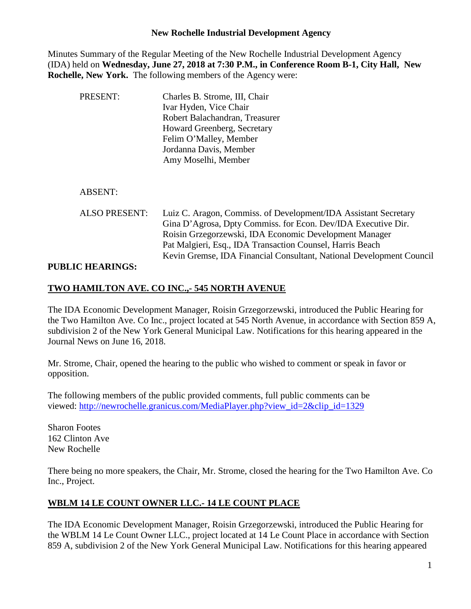Minutes Summary of the Regular Meeting of the New Rochelle Industrial Development Agency (IDA) held on **Wednesday, June 27, 2018 at 7:30 P.M., in Conference Room B-1, City Hall, New Rochelle, New York.** The following members of the Agency were:

| PRESENT:             | Charles B. Strome, III, Chair<br>Ivar Hyden, Vice Chair<br>Robert Balachandran, Treasurer<br>Howard Greenberg, Secretary<br>Felim O'Malley, Member<br>Jordanna Davis, Member<br>Amy Moselhi, Member                                                                                                                             |
|----------------------|---------------------------------------------------------------------------------------------------------------------------------------------------------------------------------------------------------------------------------------------------------------------------------------------------------------------------------|
| <b>ABSENT:</b>       |                                                                                                                                                                                                                                                                                                                                 |
| <b>ALSO PRESENT:</b> | Luiz C. Aragon, Commiss. of Development/IDA Assistant Secretary<br>Gina D'Agrosa, Dpty Commiss. for Econ. Dev/IDA Executive Dir.<br>Roisin Grzegorzewski, IDA Economic Development Manager<br>Pat Malgieri, Esq., IDA Transaction Counsel, Harris Beach<br>Kevin Gremse, IDA Financial Consultant, National Development Council |

### **PUBLIC HEARINGS:**

# **TWO HAMILTON AVE. CO INC.,- 545 NORTH AVENUE**

The IDA Economic Development Manager, Roisin Grzegorzewski, introduced the Public Hearing for the Two Hamilton Ave. Co Inc., project located at 545 North Avenue, in accordance with Section 859 A, subdivision 2 of the New York General Municipal Law. Notifications for this hearing appeared in the Journal News on June 16, 2018.

Mr. Strome, Chair, opened the hearing to the public who wished to comment or speak in favor or opposition.

The following members of the public provided comments, full public comments can be viewed: [http://newrochelle.granicus.com/MediaPlayer.php?view\\_id=2&clip\\_id=1329](http://newrochelle.granicus.com/MediaPlayer.php?view_id=2&clip_id=1329)

Sharon Footes 162 Clinton Ave New Rochelle

There being no more speakers, the Chair, Mr. Strome, closed the hearing for the Two Hamilton Ave. Co Inc., Project.

# **WBLM 14 LE COUNT OWNER LLC.- 14 LE COUNT PLACE**

The IDA Economic Development Manager, Roisin Grzegorzewski, introduced the Public Hearing for the WBLM 14 Le Count Owner LLC., project located at 14 Le Count Place in accordance with Section 859 A, subdivision 2 of the New York General Municipal Law. Notifications for this hearing appeared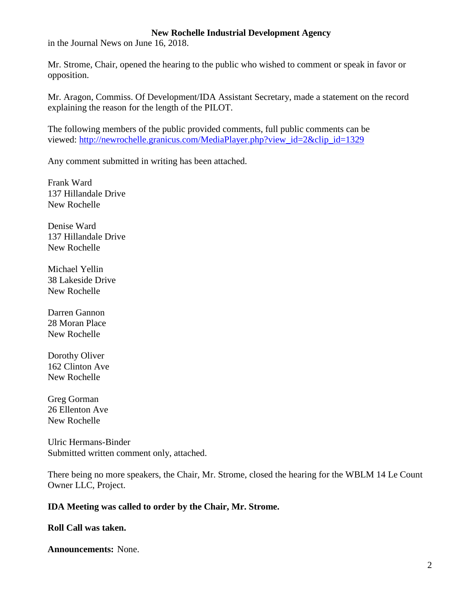in the Journal News on June 16, 2018.

Mr. Strome, Chair, opened the hearing to the public who wished to comment or speak in favor or opposition.

Mr. Aragon, Commiss. Of Development/IDA Assistant Secretary, made a statement on the record explaining the reason for the length of the PILOT.

The following members of the public provided comments, full public comments can be viewed: [http://newrochelle.granicus.com/MediaPlayer.php?view\\_id=2&clip\\_id=1329](http://newrochelle.granicus.com/MediaPlayer.php?view_id=2&clip_id=1329)

Any comment submitted in writing has been attached.

Frank Ward 137 Hillandale Drive New Rochelle

Denise Ward 137 Hillandale Drive New Rochelle

Michael Yellin 38 Lakeside Drive New Rochelle

Darren Gannon 28 Moran Place New Rochelle

Dorothy Oliver 162 Clinton Ave New Rochelle

Greg Gorman 26 Ellenton Ave New Rochelle

Ulric Hermans-Binder Submitted written comment only, attached.

There being no more speakers, the Chair, Mr. Strome, closed the hearing for the WBLM 14 Le Count Owner LLC, Project.

#### **IDA Meeting was called to order by the Chair, Mr. Strome.**

**Roll Call was taken.**

**Announcements:** None.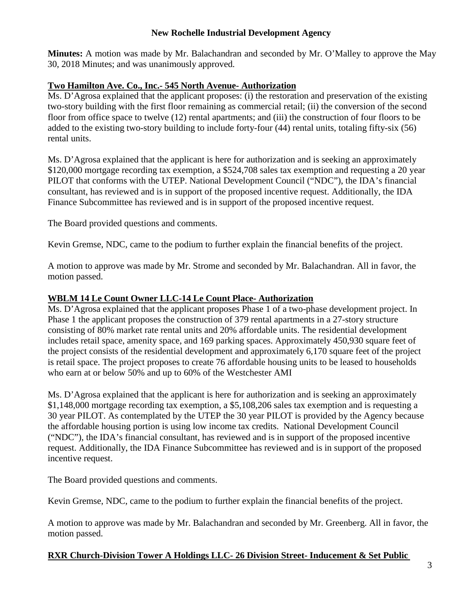**Minutes:** A motion was made by Mr. Balachandran and seconded by Mr. O'Malley to approve the May 30, 2018 Minutes; and was unanimously approved.

# **Two Hamilton Ave. Co., Inc.- 545 North Avenue- Authorization**

Ms. D'Agrosa explained that the applicant proposes: (i) the restoration and preservation of the existing two-story building with the first floor remaining as commercial retail; (ii) the conversion of the second floor from office space to twelve (12) rental apartments; and (iii) the construction of four floors to be added to the existing two-story building to include forty-four (44) rental units, totaling fifty-six (56) rental units.

Ms. D'Agrosa explained that the applicant is here for authorization and is seeking an approximately \$120,000 mortgage recording tax exemption, a \$524,708 sales tax exemption and requesting a 20 year PILOT that conforms with the UTEP. National Development Council ("NDC"), the IDA's financial consultant, has reviewed and is in support of the proposed incentive request. Additionally, the IDA Finance Subcommittee has reviewed and is in support of the proposed incentive request.

The Board provided questions and comments.

Kevin Gremse, NDC, came to the podium to further explain the financial benefits of the project.

A motion to approve was made by Mr. Strome and seconded by Mr. Balachandran. All in favor, the motion passed.

# **WBLM 14 Le Count Owner LLC-14 Le Count Place- Authorization**

Ms. D'Agrosa explained that the applicant proposes Phase 1 of a two-phase development project. In Phase 1 the applicant proposes the construction of 379 rental apartments in a 27-story structure consisting of 80% market rate rental units and 20% affordable units. The residential development includes retail space, amenity space, and 169 parking spaces. Approximately 450,930 square feet of the project consists of the residential development and approximately 6,170 square feet of the project is retail space. The project proposes to create 76 affordable housing units to be leased to households who earn at or below 50% and up to 60% of the Westchester AMI

Ms. D'Agrosa explained that the applicant is here for authorization and is seeking an approximately \$1,148,000 mortgage recording tax exemption, a \$5,108,206 sales tax exemption and is requesting a 30 year PILOT. As contemplated by the UTEP the 30 year PILOT is provided by the Agency because the affordable housing portion is using low income tax credits. National Development Council ("NDC"), the IDA's financial consultant, has reviewed and is in support of the proposed incentive request. Additionally, the IDA Finance Subcommittee has reviewed and is in support of the proposed incentive request.

The Board provided questions and comments.

Kevin Gremse, NDC, came to the podium to further explain the financial benefits of the project.

A motion to approve was made by Mr. Balachandran and seconded by Mr. Greenberg. All in favor, the motion passed.

# **RXR Church-Division Tower A Holdings LLC- 26 Division Street- Inducement & Set Public**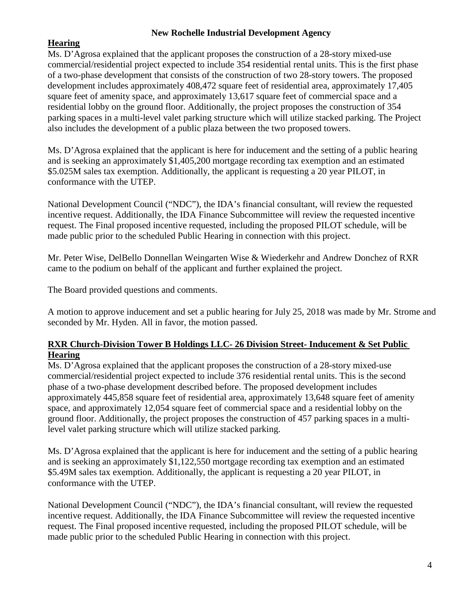# **Hearing**

Ms. D'Agrosa explained that the applicant proposes the construction of a 28-story mixed-use commercial/residential project expected to include 354 residential rental units. This is the first phase of a two-phase development that consists of the construction of two 28-story towers. The proposed development includes approximately 408,472 square feet of residential area, approximately 17,405 square feet of amenity space, and approximately 13,617 square feet of commercial space and a residential lobby on the ground floor. Additionally, the project proposes the construction of 354 parking spaces in a multi-level valet parking structure which will utilize stacked parking. The Project also includes the development of a public plaza between the two proposed towers.

Ms. D'Agrosa explained that the applicant is here for inducement and the setting of a public hearing and is seeking an approximately \$1,405,200 mortgage recording tax exemption and an estimated \$5.025M sales tax exemption. Additionally, the applicant is requesting a 20 year PILOT, in conformance with the UTEP.

National Development Council ("NDC"), the IDA's financial consultant, will review the requested incentive request. Additionally, the IDA Finance Subcommittee will review the requested incentive request. The Final proposed incentive requested, including the proposed PILOT schedule, will be made public prior to the scheduled Public Hearing in connection with this project.

Mr. Peter Wise, DelBello Donnellan Weingarten Wise & Wiederkehr and Andrew Donchez of RXR came to the podium on behalf of the applicant and further explained the project.

The Board provided questions and comments.

A motion to approve inducement and set a public hearing for July 25, 2018 was made by Mr. Strome and seconded by Mr. Hyden. All in favor, the motion passed.

# **RXR Church-Division Tower B Holdings LLC- 26 Division Street- Inducement & Set Public Hearing**

Ms. D'Agrosa explained that the applicant proposes the construction of a 28-story mixed-use commercial/residential project expected to include 376 residential rental units. This is the second phase of a two-phase development described before. The proposed development includes approximately 445,858 square feet of residential area, approximately 13,648 square feet of amenity space, and approximately 12,054 square feet of commercial space and a residential lobby on the ground floor. Additionally, the project proposes the construction of 457 parking spaces in a multilevel valet parking structure which will utilize stacked parking.

Ms. D'Agrosa explained that the applicant is here for inducement and the setting of a public hearing and is seeking an approximately \$1,122,550 mortgage recording tax exemption and an estimated \$5.49M sales tax exemption. Additionally, the applicant is requesting a 20 year PILOT, in conformance with the UTEP.

National Development Council ("NDC"), the IDA's financial consultant, will review the requested incentive request. Additionally, the IDA Finance Subcommittee will review the requested incentive request. The Final proposed incentive requested, including the proposed PILOT schedule, will be made public prior to the scheduled Public Hearing in connection with this project.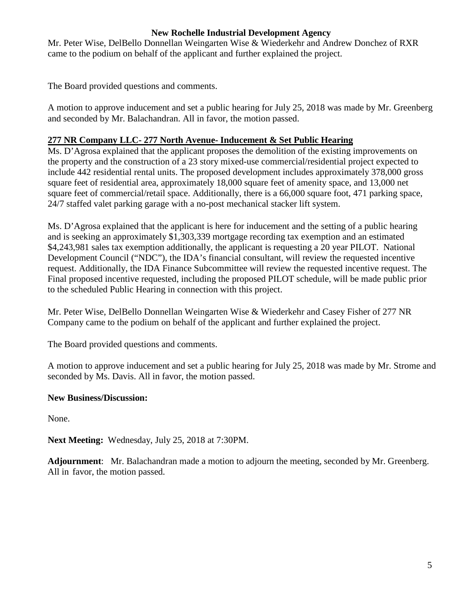Mr. Peter Wise, DelBello Donnellan Weingarten Wise & Wiederkehr and Andrew Donchez of RXR came to the podium on behalf of the applicant and further explained the project.

The Board provided questions and comments.

A motion to approve inducement and set a public hearing for July 25, 2018 was made by Mr. Greenberg and seconded by Mr. Balachandran. All in favor, the motion passed.

# **277 NR Company LLC- 277 North Avenue- Inducement & Set Public Hearing**

Ms. D'Agrosa explained that the applicant proposes the demolition of the existing improvements on the property and the construction of a 23 story mixed-use commercial/residential project expected to include 442 residential rental units. The proposed development includes approximately 378,000 gross square feet of residential area, approximately 18,000 square feet of amenity space, and 13,000 net square feet of commercial/retail space. Additionally, there is a 66,000 square foot, 471 parking space, 24/7 staffed valet parking garage with a no-post mechanical stacker lift system.

Ms. D'Agrosa explained that the applicant is here for inducement and the setting of a public hearing and is seeking an approximately \$1,303,339 mortgage recording tax exemption and an estimated \$4,243,981 sales tax exemption additionally, the applicant is requesting a 20 year PILOT. National Development Council ("NDC"), the IDA's financial consultant, will review the requested incentive request. Additionally, the IDA Finance Subcommittee will review the requested incentive request. The Final proposed incentive requested, including the proposed PILOT schedule, will be made public prior to the scheduled Public Hearing in connection with this project.

Mr. Peter Wise, DelBello Donnellan Weingarten Wise & Wiederkehr and Casey Fisher of 277 NR Company came to the podium on behalf of the applicant and further explained the project.

The Board provided questions and comments.

A motion to approve inducement and set a public hearing for July 25, 2018 was made by Mr. Strome and seconded by Ms. Davis. All in favor, the motion passed.

# **New Business/Discussion:**

None.

**Next Meeting:** Wednesday, July 25, 2018 at 7:30PM.

**Adjournment**: Mr. Balachandran made a motion to adjourn the meeting, seconded by Mr. Greenberg. All in favor, the motion passed.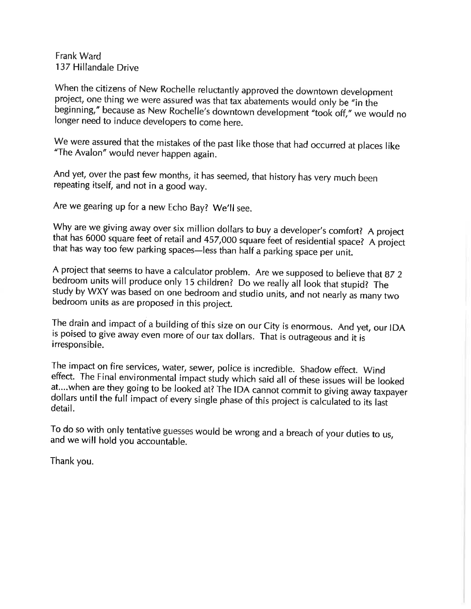Frank Ward 137 Hillandale Drive

When the citizens of New Rochelle reluctantly approved the downtown development project, one thing we were assured was that tax abatements would only be "in the beginning," because as New Rochelle's downtown development "took off," we would no longer need to induce developers to come here.

We were assured that the mistakes of the past like those that had occurred at places like "The Avalon" would never happen again.

And yet, over the past few months, it has seemed, that history has very much been repeating itself, and not in a good way.

Are we gearing up for a new Echo Bay? We'll see.

Why are we giving away over six million dollars to buy a developer's comfort? A project that has 6000 square feet of retail and 457,000 square feet of residential space? A project that has way too few parking spaces-less than half a parking space per unit.

A project that seems to have a calculator problem. Are we supposed to believe that 87 2 bedroom units will produce only 15 children? Do we really all look that stupid? The study by WXY was based on one bedroom and studio units, and not nearly as many two bedroom units as are proposed in this project.

The drain and impact of a building of this size on our City is enormous. And yet, our IDA is poised to give away even more of our tax dollars. That is outrageous and it is irresponsible.

The impact on fire services, water, sewer, police is incredible. Shadow effect. Wind effect. The Final environmental impact study which said all of these issues will be looked at....when are they going to be looked at? The IDA cannot commit to giving away taxpayer dollars until the full impact of every single phase of this project is calculated to its last detail.

To do so with only tentative guesses would be wrong and a breach of your duties to us, and we will hold you accountable.

Thank you.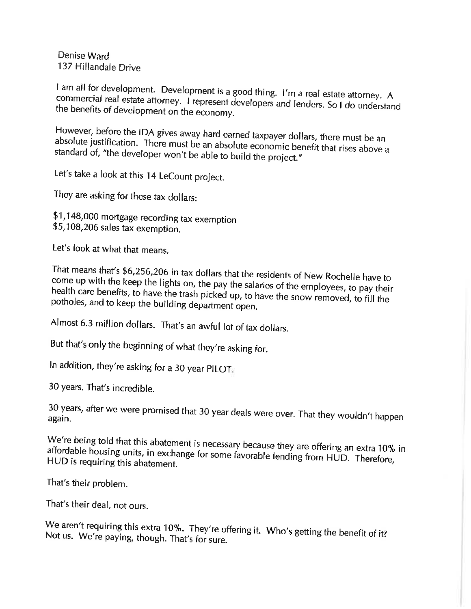Denise Ward 137 Hillandale Drive

I am all for development. Development is a good thing. I'm a real estate attorney. A commercial real estate attorney. I represent developers and lenders. So I do understand the benefits of development on the economy.

However, before the IDA gives away hard earned taxpayer dollars, there must be an absolute justification. There must be an absolute economic benefit that rises above a standard of, "the developer won't be able to build the project."

Let's take a look at this 14 LeCount project.

They are asking for these tax dollars:

\$1,148,000 mortgage recording tax exemption \$5,108,206 sales tax exemption.

Let's look at what that means.

That means that's \$6,256,206 in tax dollars that the residents of New Rochelle have to come up with the keep the lights on, the pay the salaries of the employees, to pay their health care benefits, to have the trash picked up, to have the snow removed, to fill the potholes, and to keep the building department open.

Almost 6.3 million dollars. That's an awful lot of tax dollars.

But that's only the beginning of what they're asking for.

In addition, they're asking for a 30 year PILOT.

30 years. That's incredible.

30 years, after we were promised that 30 year deals were over. That they wouldn't happen again.

We're being told that this abatement is necessary because they are offering an extra 10% in affordable housing units, in exchange for some favorable lending from HUD. Therefore, HUD is requiring this abatement.

That's their problem.

That's their deal, not ours.

We aren't requiring this extra 10%. They're offering it. Who's getting the benefit of it? Not us. We're paying, though. That's for sure.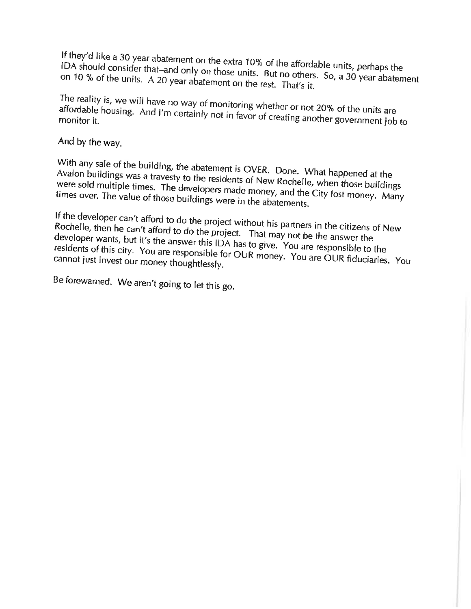If they'd like a 30 year abatement on the extra 10% of the affordable units, perhaps the IDA should consider that-and only on those units. But no others. So, a 30 year abatement on 10 % of the units. A 20 year abatement on the rest. That's it.

The reality is, we will have no way of monitoring whether or not 20% of the units are affordable housing. And I'm certainly not in favor of creating another government job to

And by the way.

With any sale of the building, the abatement is OVER. Done. What happened at the Avalon buildings was a travesty to the residents of New Rochelle, when those buildings were sold multiple times. The developers made money, and the City lost money. Many times over. The value of those buildings were in the abatements.

If the developer can't afford to do the project without his partners in the citizens of New Rochelle, then he can't afford to do the project. That may not be the answer the developer wants, but it's the answer this IDA has to give. You are responsible to the residents of this city. You are responsible for OUR money. You are OUR fiduciaries. You cannot just invest our money thoughtlessly.

Be forewarned. We aren't going to let this go.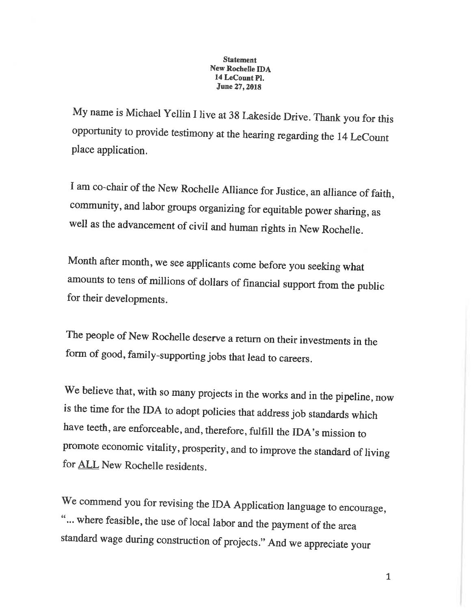#### **Statement** New Rochelle IDA 14 LeCount Pl. June 27, 2018

My name is Michael Yellin I live at 38 Lakeside Drive. Thank you for this opportunity to provide testimony at the hearing regarding the 14 LeCount place application.

I am co-chair of the New Rochelle Alliance for Justice, an alliance of faith, community, and labor groups organizing for equitable power sharing, as well as the advancement of civil and human rights in New Rochelle.

Month after month, we see applicants come before you seeking what amounts to tens of millions of dollars of financial support from the public for their developments.

The people of New Rochelle deserve a return on their investments in the form of good, family-supporting jobs that lead to careers.

We believe that, with so many projects in the works and in the pipeline, now is the time for the IDA to adopt policies that address job standards which have teeth, are enforceable, and, therefore, fulfill the IDA's mission to promote economic vitality, prosperity, and to improve the standard of living for ALL New Rochelle residents.

We commend you for revising the IDA Application language to encourage, "... where feasible, the use of local labor and the payment of the area standard wage during construction of projects." And we appreciate your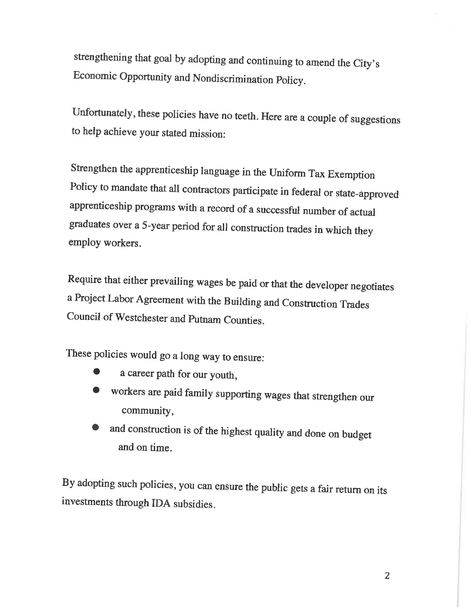strengthening that goal by adopting and continuing to amend the City's Economic Opportunity and Nondiscrimination Policy.

Unfortunately, these policies have no teeth. Here are a couple of suggestions to help achieve your stated mission:

Strengthen the apprenticeship language in the Uniform Tax Exemption Policy to mandate that all contractors participate in federal or state-approved apprenticeship programs with a record of a successful number of actual graduates over a 5-year period for all construction trades in which they employ workers.

Require that either prevailing wages be paid or that the developer negotiates a Project Labor Agreement with the Building and Construction Trades Council of Westchester and Putnam Counties.

These policies would go a long way to ensure:

- a career path for our youth,
- workers are paid family supporting wages that strengthen our community,
- and construction is of the highest quality and done on budget and on time.

By adopting such policies, you can ensure the public gets a fair return on its investments through IDA subsidies.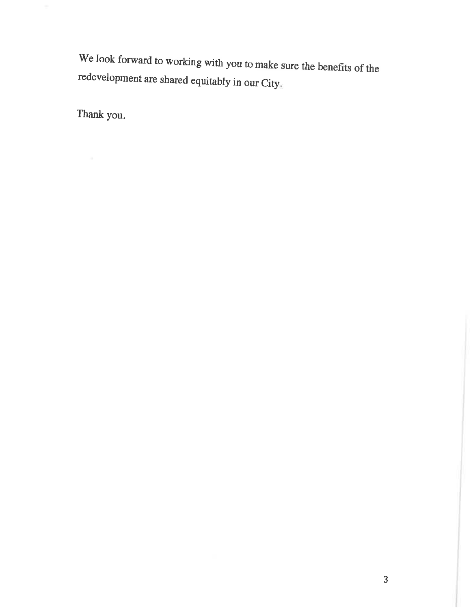We look forward to working with you to make sure the benefits of the redevelopment are shared equitably in our City.

Thank you.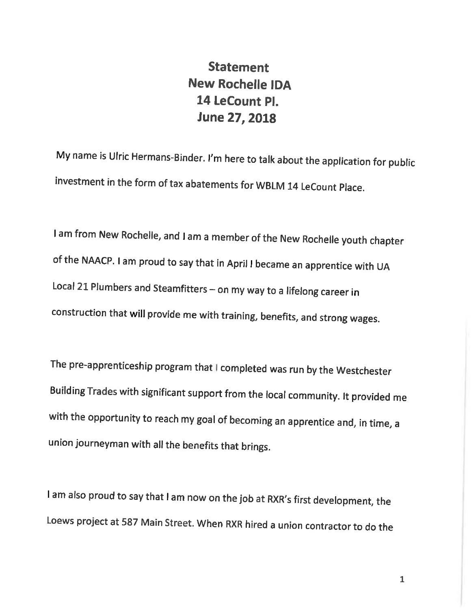# **Statement New Rochelle IDA** 14 LeCount Pl. June 27, 2018

My name is Ulric Hermans-Binder. I'm here to talk about the application for public investment in the form of tax abatements for WBLM 14 LeCount Place.

I am from New Rochelle, and I am a member of the New Rochelle youth chapter of the NAACP. I am proud to say that in April I became an apprentice with UA Local 21 Plumbers and Steamfitters - on my way to a lifelong career in construction that will provide me with training, benefits, and strong wages.

The pre-apprenticeship program that completed was run by the Westchester Building Trades with significant support from the local community. It provided me with the opportunity to reach my goal of becoming an apprentice and, in time, a union journeyman with all the benefits that brings.

I am also proud to say that I am now on the job at RXR's first development, the Loews project at 587 Main Street. When RXR hired a union contractor to do the